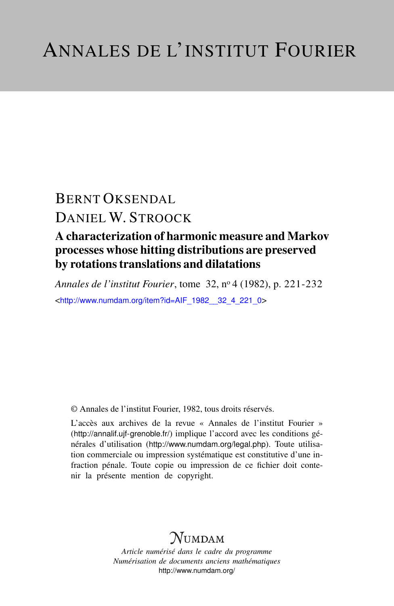# BERNT OKSENDAL DANIEL W. STROOCK

## A characterization of harmonic measure and Markov processes whose hitting distributions are preserved by rotations translations and dilatations

*Annales de l'institut Fourier*, tome 32, n<sup>o</sup> 4 (1982), p. 221-232 <[http://www.numdam.org/item?id=AIF\\_1982\\_\\_32\\_4\\_221\\_0](http://www.numdam.org/item?id=AIF_1982__32_4_221_0)>

© Annales de l'institut Fourier, 1982, tous droits réservés.

L'accès aux archives de la revue « Annales de l'institut Fourier » (<http://annalif.ujf-grenoble.fr/>) implique l'accord avec les conditions générales d'utilisation (<http://www.numdam.org/legal.php>). Toute utilisation commerciale ou impression systématique est constitutive d'une infraction pénale. Toute copie ou impression de ce fichier doit contenir la présente mention de copyright.

## NUMDAM

*Article numérisé dans le cadre du programme Numérisation de documents anciens mathématiques* <http://www.numdam.org/>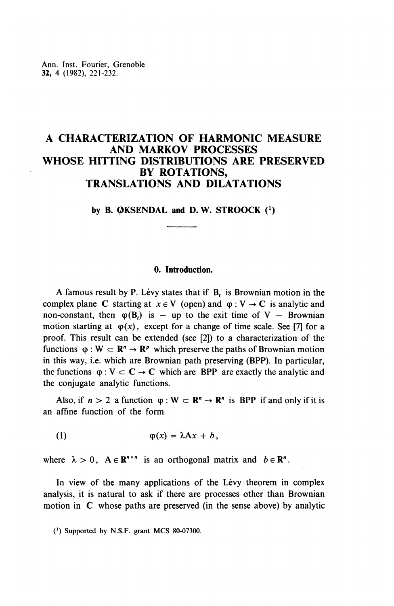### **A CHARACTERIZATION OF HARMONIC MEASURE AND MARKOV PROCESSES WHOSE HITTING DISTRIBUTIONS ARE PRESERVED BY ROTATIONS, TRANSLATIONS AND DILATATIONS**

by **B.**  $QKSEMDAL$  and **D. W. STROOCK**  $(1)$ 

#### **0. Introduction.**

A famous result by P. Lévy states that if B, is Brownian motion in the complex plane C starting at  $x \in V$  (open) and  $\varphi : V \to C$  is analytic and non-constant, then  $\varphi(B_i)$  is - up to the exit time of V - Brownia non-constant, then  $\varphi(B_t)$  is – up to the exit time of V – Brownian motion starting at  $\varphi(x)$ , except for a change of time scale. See [7] for a proof. This result can be extended (see [2]) to a characterization of the functions  $\varphi : W \subset \mathbb{R}^n \to \mathbb{R}^p$  which preserve the paths of Brownian motion in this way, i.e. which are Brownian path preserving (BPP). In particular, the functions  $\varphi : V \subset C \to C$  which are BPP are exactly the analytic and the conjugate analytic functions.

Also, if  $n > 2$  a function  $\varphi : W \subset \mathbb{R}^n \to \mathbb{R}^n$  is BPP if and only if it is an affine function of the form

(1)  $\varphi(x)=\lambda Ax+b,$ 

where  $\lambda > 0$ ,  $A \in \mathbb{R}^{n \times n}$  is an orthogonal matrix and  $b \in \mathbb{R}^n$ .

In view of the many applications of the Lévy theorem in complex analysis, it is natural to ask if there are processes other than Brownian motion in C whose paths are preserved (in the sense above) by analytic

<sup>)</sup> Supported by N.S.F. grant MCS 80-07300.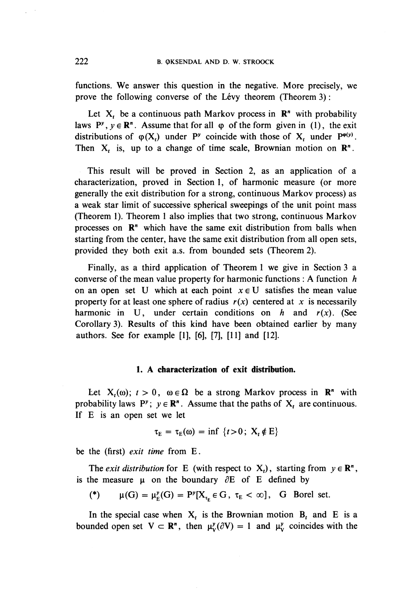functions. We answer this question in the negative. More precisely, we prove the following converse of the Lévy theorem (Theorem 3):

Let  $X_t$ , be a continuous path Markov process in  $\mathbb{R}^n$  with probability laws  $P^y$ ,  $y \in \mathbb{R}^n$ . Assume that for all  $\varphi$  of the form given in (1), the exit distributions of  $\varphi(X_t)$  under P<sup>*y*</sup> coincide with those of  $X_t$  under P<sup> $\varphi(y)$ </sup>. Then **X,** is, up to a change of time scale, Brownian motion on R".

This result will be proved in Section 2, as an application of a characterization, proved in Section 1, of harmonic measure (or more generally the exit distribution for a strong, continuous Markov process) as a weak star limit of successive spherical sweepings of the unit point mass (Theorem 1). Theorem 1 also implies that two strong, continuous Markov processes on  $\mathbb{R}^n$  which have the same exit distribution from balls when starting from the center, have the same exit distribution from all open sets, provided they both exit a.s. from bounded sets (Theorem 2).

Finally, as a third application of Theorem 1 we give in Section 3 a converse of the mean value property for harmonic functions : A function *h* on an open set U which at each point  $x \in U$  satisfies the mean value property for at least one sphere of radius  $r(x)$  centered at x is necessarily harmonic in U, under certain conditions on *h* and *r(x).* (See Corollary 3). Results of this kind have been obtained earlier by many authors. See for example [I], [6], [7], [11] and [12].

#### **1. A characterization of exit distribution.**

Let  $X_t(\omega)$ ;  $t > 0$ ,  $\omega \in \Omega$  be a strong Markov process in  $\mathbb{R}^n$  with probability laws  $P^y$ ;  $y \in \mathbb{R}^n$ . Assume that the paths of  $X_t$  are continuous. If E is an open set we let

$$
\tau_{E} = \tau_{E}(\omega) = \inf \{t > 0; \ X_{t} \notin E\}
$$

be the (first) *exit time* from E.

The *exit distribution* for E (with respect to  $X_t$ ), starting from  $y \in \mathbb{R}^n$ , is the measure  $\mu$  on the boundary  $\partial E$  of E defined by

$$
(*) \qquad \mu(G) = \mu_F^{\nu}(G) = P^{\nu}[X_{\tau_E} \in G, \ \tau_E < \infty], \quad G \quad \text{Borel set.}
$$

In the special case when  $X_t$  is the Brownian motion  $B_t$  and E is a bounded open set  $V \subset \mathbb{R}^n$ , then  $\mu_v^{\nu}(\partial V) = 1$  and  $\mu_v^{\nu}$  coincides with the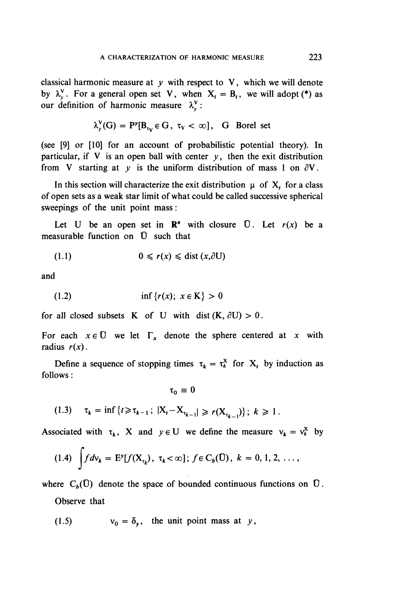classical harmonic measure at *y* with respect to V, which we will denote by  $\lambda_v^V$ . For a general open set V, when  $X_t = B_t$ , we will adopt (\*) as our definition of harmonic measure  $\lambda_v^V$ :

$$
\lambda_v^V(G) = P^{\nu}[B_{\tau_V} \in G, \ \tau_V < \infty], \ \ G \ \ \text{Borel set}
$$

(see [9] or [10] for an account of probabilistic potential theory). In particular, if V is an open ball with center  $y$ , then the exit distribution from V starting at  $y$  is the uniform distribution of mass 1 on  $\partial V$ .

In this section will characterize the exit distribution  $\mu$  of  $X_t$  for a class of open sets as a weak star limit of what could be called successive spherical sweepings of the unit point mass:

Let U be an open set in  $\mathbb{R}^n$  with closure  $\overline{U}$ . Let  $r(x)$  be a measurable function on  $\bar{U}$  such that

$$
(1.1) \t\t 0 \leqslant r(x) \leqslant \text{dist} \left( x, \partial U \right)
$$

and

(1.2) 
$$
\inf \{r(x); \ x \in K\} > 0
$$

for all closed subsets K of U with dist  $(K, \partial U) > 0$ .

For each  $x \in \overline{U}$  we let  $\Gamma_x$  denote the sphere centered at x with radius  $r(x)$ .

Define a sequence of stopping times  $\tau_k = \tau_k^X$  for  $X_t$  by induction as follows:

$$
\tau_0\equiv 0
$$

(1.3)  $\tau_k = \inf \{ t \ge \tau_{k-1}; |X_t - X_{\tau_{k-1}}| \ge r(X_{\tau_{k-1}})\}; k \ge 1.$ 

Associated with  $\tau_k$ , X and  $y \in U$  we define the measure  $v_k = v_k^X$  by

$$
(1.4) \int f d\mathsf{v}_k = \mathrm{E}^{\mathsf{y}}[f(\mathrm{X}_{\tau_k}), \ \tau_k < \infty]; \ f \in \mathrm{C}_b(\mathrm{U}), \ k = 0, 1, 2, \ \ldots,
$$

where  $C_b(\mathbf{U})$  denote the space of bounded continuous functions on  $\mathbf{U}$ .

Observe that

(1.5) 
$$
v_0 = \delta_y, \text{ the unit point mass at } y,
$$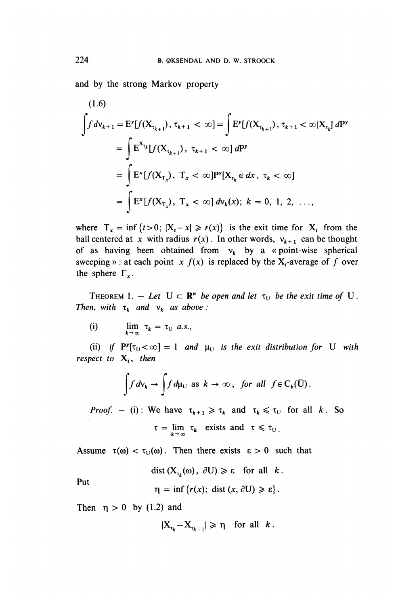and by the strong Markov property

$$
(1.6)
$$
\n
$$
\int f d\mathbf{v}_{k+1} = \mathbf{E}^{\mathbf{y}}[f(\mathbf{X}_{\tau_{k+1}}), \tau_{k+1} < \infty] = \int \mathbf{E}^{\mathbf{y}}[f(\mathbf{X}_{\tau_{k+1}}), \tau_{k+1} < \infty | \mathbf{X}_{\tau_{k}}] d\mathbf{P}^{\mathbf{y}}
$$
\n
$$
= \int \mathbf{E}^{\mathbf{X}_{\tau_{k}}}[f(\mathbf{X}_{\tau_{k+1}}), \tau_{k+1} < \infty] d\mathbf{P}^{\mathbf{y}}
$$
\n
$$
= \int \mathbf{E}^{\mathbf{x}}[f(\mathbf{X}_{\tau_{x}}), \ T_{x} < \infty] \mathbf{P}^{\mathbf{y}}[\mathbf{X}_{\tau_{k}} \in dx, \ \tau_{k} < \infty]
$$
\n
$$
= \int \mathbf{E}^{\mathbf{x}}[f(\mathbf{X}_{\tau_{x}}), \ T_{x} < \infty] d\mathbf{v}_{k}(x); \ k = 0, 1, 2, \ \ldots,
$$

where  $T_x = \inf \{t>0; |X_t-x| \ge r(x)\}$  is the exit time for  $X_t$  from the ball centered at x with radius  $r(x)$ . In other words,  $v_{k+1}$  can be thought of as having been obtained from  $v_k$  by a «point-wise spherical sweeping » : at each point  $x f(x)$  is replaced by the  $X_t$ -average of f over the sphere  $\Gamma_x$ .

THEOREM 1. - Let  $U \subset \mathbb{R}^n$  be open and let  $\tau_U$  be the exit time of U. *Then, with*  $\tau_k$  *and*  $v_k$  *as above :* 

(i)  $\lim_{k \to \infty} \tau_k = \tau_U \quad a.s.$ 

(ii) if  $P^y[\tau_U < \infty] = 1$  and  $\mu_U$  is the exit distribution for U with *respect to* X,, *then*

$$
\int f d\nu_k \to \int f d\mu_U \text{ as } k \to \infty, \text{ for all } f \in C_b(\bar{U}).
$$

*Proof.* - (i): We have  $\tau_{k+1} \geq \tau_k$  and  $\tau_k \leq \tau_v$  for all k. So  $\tau = \lim_{k \to \infty} \tau_k$  exists and  $\tau \leq \tau_i$ 

Assume  $\tau(\omega) < \tau_U(\omega)$ . Then there exists  $\epsilon > 0$  such that

$$
\text{dist}\left(X_{\tau_k}(\omega), \ \partial U\right) \geqslant \varepsilon \quad \text{for all} \quad k
$$

**Put**

$$
\eta = \inf \{ r(x); \; \text{dist}(x, \partial U) \geq \varepsilon \}
$$

Then  $\eta > 0$  by (1.2) and

$$
|X_{\tau_k} - X_{\tau_{k-1}}| \ge \eta \quad \text{for all} \quad k.
$$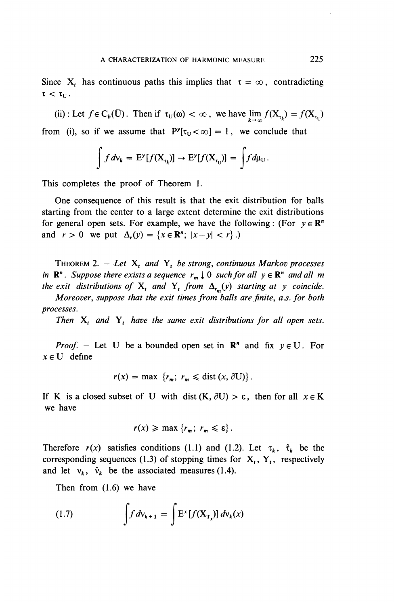(ii): Let  $f \in C_b(\overline{U})$ . Then if  $\tau_U(\omega) < \infty$ , we have  $\lim_{k \to \infty} f(X_{\tau_k}) = f(X_{\tau_U})$ from (i), so if we assume that  $P^{y}[\tau_{U} < \infty] = 1$ , we conclude that

$$
\int f d\mathsf{v}_k = \mathbf{E}^{\mathsf{y}}[f(\mathbf{X}_{\tau_k})] \to \mathbf{E}^{\mathsf{y}}[f(\mathbf{X}_{\tau_U})] = \int f d\mathsf{\mu}_U.
$$

This completes the proof of Theorem 1.

One consequence of this result is that the exit distribution for balls starting from the center to a large extent determine the exit distributions for general open sets. For example, we have the following: (For  $y \in \mathbb{R}^n$ ) and  $r > 0$  we put  $\Delta_r(y) = \{x \in \mathbb{R}^n; |x-y| < r\}$ .)

THEOREM 2.  $-$  Let  $X_t$  and  $Y_t$  be strong, continuous Markov processes *in*  $\mathbb{R}^n$ . Suppose there exists a sequence  $r_m \downarrow 0$  such for all  $y \in \mathbb{R}^n$  and all m *the exit distributions of*  $X_t$  *and*  $Y_t$  *from*  $\Delta_{t_n}(y)$  *starting at y coincide.* 

*Moreover, suppose that the exit times from balls are finite, a.s. for both processes.*

*Then* X, *and* Y, *have the same exit distributions for all open sets.*

*Proof.* – Let U be a bounded open set in  $\mathbb{R}^n$  and fix  $y \in U$ . For  $x \in U$  define

$$
r(x) = \max \ \{r_m; \ r_m \leq \text{dist} \ (x, \partial U) \}.
$$

If K is a closed subset of U with dist  $(K, \partial U) > \varepsilon$ , then for all  $x \in K$ we have

$$
r(x) \geqslant \max \left\{ r_m; \ r_m \leqslant \varepsilon \right\}.
$$

Therefore  $r(x)$  satisfies conditions (1.1) and (1.2). Let  $\tau_k$ ,  $\hat{\tau}_k$  be the corresponding sequences (1.3) of stopping times for  $X_t$ ,  $Y_t$ , respectively and let  $v_k$ ,  $\hat{v}_k$  be the associated measures (1.4).

Then from (1.6) we have

(1.7) 
$$
\int f d\mathsf{v}_{k+1} = \int E^x [f(\mathbf{X}_{\mathrm{T}_x})] d\mathsf{v}_k(x)
$$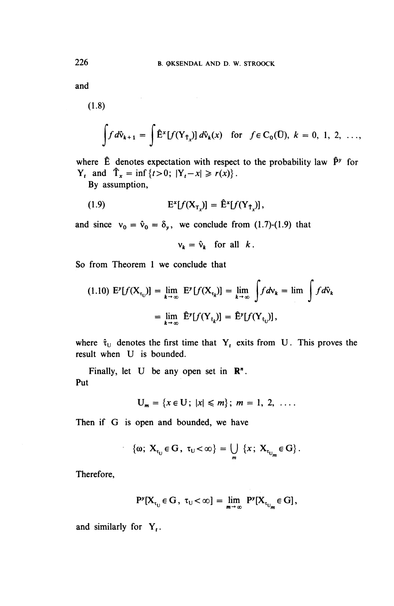and

(1.8)

$$
\int f d\hat{v}_{k+1} = \int \hat{E}^x[f(Y_{\hat{T}_x})] d\hat{v}_k(x) \quad \text{for} \quad f \in C_0(\hat{U}), \ k = 0, 1, 2, \ \ldots,
$$

where  $\hat{E}$  denotes expectation with respect to the probability law  $\hat{P}^y$  for **Y<sub>t</sub>** and  $\hat{T}_x = \inf \{ t > 0; |Y_t - x| \ge r(x) \}.$ 

By assumption,

$$
\mathbf{E}^{\mathbf{x}}[f(\mathbf{X}_{\tau})] = \mathbf{\hat{E}}^{\mathbf{x}}[f(\mathbf{Y}_{\tau})],
$$

and since  $v_0 = \hat{v}_0 = \delta_y$ , we conclude from (1.7)-(1.9) that

 $v_k = \hat{v}_k$  for all k.

So from Theorem 1 we conclude that

$$
(1.10) \mathbf{E}^{\mathbf{y}}[f(\mathbf{X}_{\tau_{\mathbf{U}}})] = \lim_{k \to \infty} \mathbf{E}^{\mathbf{y}}[f(\mathbf{X}_{\tau_{k}})] = \lim_{k \to \infty} \int f d\mathbf{v}_{k} = \lim_{k \to \infty} \int f d\mathbf{\hat{v}}_{k}
$$

$$
= \lim_{k \to \infty} \mathbf{\hat{E}}^{\mathbf{y}}[f(\mathbf{Y}_{\hat{\tau}_{k}})] = \mathbf{\hat{E}}^{\mathbf{y}}[f(\mathbf{Y}_{\hat{\tau}_{\mathbf{U}}})],
$$

where  $\hat{\tau}_{U}$  denotes the first time that Y<sub>t</sub> exits from U. This proves the result when U is bounded.

Finally, let  $U$  be any open set in  $\mathbb{R}^n$ . Put

$$
U_m = \{x \in U; |x| \leq m\}; \; m = 1, 2, \ldots
$$

**Then if G is open and bounded, we have**

$$
\{\omega;\;X_{\tau_U}\in G\,,\;\tau_U<\infty\}=\bigcup_m\;\{x\,;\;X_{\tau_{U_m}}\in G\}\,.
$$

Therefore,

$$
P^{\nu}[X_{\tau_{U}} \in G, \ \tau_{U} < \infty] = \lim_{m \to \infty} P^{\nu}[X_{\tau_{U_{m}}} \in G],
$$

and similarly for **Y,.**

 $\sim$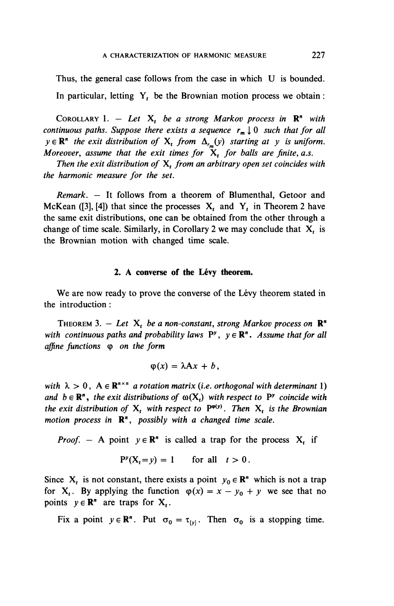Thus, the general case follows from the case in which U is bounded. In particular, letting  $Y_t$ , be the Brownian motion process we obtain :

COROLLARY 1.  $-$  Let X<sub>t</sub> be a strong Markov process in  $\mathbb{R}^n$  with *continuous paths. Suppose there exists a sequence*  $r_m \downarrow 0$  *such that for all*  $y \in \mathbb{R}^n$  the exit distribution of  $X_t$  from  $\Delta_{r_m}(y)$  starting at y is uniform. *Moreover, assume that the exit times for*  $\ddot{X}$  *for balls are finite, a.s.* 

*Then the exit distribution of* X^ *from an arbitrary open set coincides with the harmonic measure for the set.*

*Remark. —* It follows from a theorem of Blumenthal, Getoor and McKean ([3], [4]) that since the processes  $X_t$  and  $Y_t$  in Theorem 2 have the same exit distributions, one can be obtained from the other through a change of time scale. Similarly, in Corollary 2 we may conclude that X, is the Brownian motion with changed time scale.

#### 2. A converse of the Lévy theorem.

We are now ready to prove the converse of the Lévy theorem stated in the introduction :

THEOREM 3.  $-$  Let  $X_t$  be a non-constant, strong Markov process on  $\mathbb{R}^n$ *with continuous paths and probability laws*  $P^y$ ,  $y \in \mathbb{R}^n$ *. Assume that for all affine functions* (p *on the form*

$$
\varphi(x)=\lambda Ax+b,
$$

with  $\lambda > 0$ ,  $A \in \mathbb{R}^{n \times n}$  *a rotation matrix (i.e. orthogonal with determinant 1) and*  $b \in \mathbb{R}^n$ , the exit distributions of  $\omega(X_t)$  with respect to P<sup>*y*</sup> coincide with *the exit distribution of*  $X^1$  with respect to  $P^{\varphi(y)}$ . Then  $X^1$ , is the Brownian *motion process in* **R",** *possibly with a changed time scale.*

*Proof.* – A point  $y \in \mathbb{R}^n$  is called a trap for the process  $X_t$  if

$$
P^{\nu}(X_t = y) = 1 \quad \text{for all} \quad t > 0.
$$

Since  $X_t$  is not constant, there exists a point  $y_0 \in \mathbb{R}^n$  which is not a trap for  $X_t$ . By applying the function  $\varphi(x) = x - y_0 + y$  we see that no points  $y \in \mathbb{R}^n$  are traps for  $X_t$ .

Fix a point  $y \in \mathbb{R}^n$ . Put  $\sigma_0 = \tau_{\{y\}}$ . Then  $\sigma_0$  is a stopping time.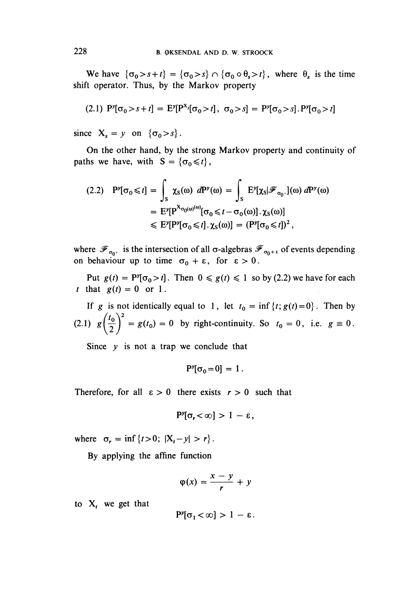We have  $\{\sigma_0 > s+t\} = {\{\sigma_0 > s\}} \cap {\{\sigma_0 \circ \theta_s > t\}}$ , where  $\theta_s$  is the time shift operator. Thus, by the Markov property

(2.1) 
$$
P^y[\sigma_0 > s + t] = E^y[P^{X_s}[\sigma_0 > t], \sigma_0 > s] = P^y[\sigma_0 > s]. P^y[\sigma_0 > t]
$$

since  $X_s = y$  on  $\{\sigma_0 > s\}.$ 

On the other hand, by the strong Markov property and continuity of paths we have, with  $S = {\lbrace \sigma_0 \leq t \rbrace}$ ,

$$
(2.2) \quad P^{\nu}[\sigma_{0} \leq t] = \int_{S} \chi_{S}(\omega) \ dP^{\nu}(\omega) = \int_{S} E^{\nu}[\chi_{S}|\mathcal{F}_{\sigma_{0}^{-1}}](\omega) \ dP^{\nu}(\omega)
$$

$$
= E^{\nu}[P^{\chi_{\sigma_{0}}(\omega)(\omega)}[\sigma_{0} \leq t - \sigma_{0}(\omega)].\chi_{S}(\omega)]
$$

$$
\leq E^{\nu}[P^{\nu}[\sigma_{0} \leq t].\chi_{S}(\omega)] = (P^{\nu}[\sigma_{0} \leq t])^{2},
$$

where  $\mathscr{F}_{\sigma_0^+}$  is the intersection of all  $\sigma$ -algebras  $\mathscr{F}_{\sigma_0+\epsilon}$  of events depending on behaviour up to time  $\sigma_0 + \varepsilon$ , for  $\varepsilon > 0$ .

Put  $g(t) = P^{\nu}[\sigma_0 > t]$ . Then  $0 \le g(t) \le 1$  so by (2.2) we have for each *t* that  $g(t) = 0$  or 1.

If g is not identically equal to 1, let  $t_0 = \inf \{t; g(t) = 0\}$ . Then by  $\frac{1}{2}$ (2.1)  $g\left(\frac{t_0}{2}\right)^2 = g(t_0) = 0$  by right-continuity. So  $t_0 = 0$ , i.e.  $g \equiv 0$ .

Since  $y$  is not a trap we conclude that

$$
P^{\nu}[\sigma_0=0] = 1.
$$

Therefore, for all  $\varepsilon > 0$  there exists  $r > 0$  such that

$$
P^y[\sigma_r<\infty]>1-\epsilon,
$$

where  $\sigma_r = \inf \{ t > 0; |X_t - y| > r \}.$ 

By applying the affine function

$$
\varphi(x) = \frac{x - y}{r} + y
$$

to  $X_t$  we get that

$$
P^{\nu}[\sigma_1<\infty]>1-\epsilon.
$$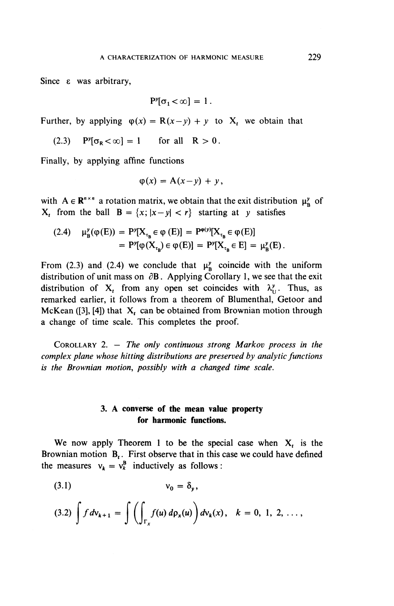Since e was arbitrary,

$$
P^y[\sigma_1<\infty]=1.
$$

Further, by applying  $\varphi(x) = R(x-y) + y$  to X, we obtain that

$$
(2.3) \quad P^{\nu}[\sigma_{R} < \infty] = 1 \quad \text{for all} \quad R > 0.
$$

Finally, by applying affine functions

$$
\varphi(x) = A(x-y) + y,
$$

with  $A \in \mathbb{R}^{n \times n}$  a rotation matrix, we obtain that the exit distribution  $\mu_n^{\gamma}$  of  $X_t$  from the ball  $B = \{x; |x-y| < r\}$  starting at y satisfies

(2.4) 
$$
\mu_{B}^{y}(\varphi(E)) = P^{y}[X_{\tau_{B}} \in \varphi(E)] = P^{\varphi(y)}[X_{\tau_{B}} \in \varphi(E)]
$$

$$
= P^{y}[\varphi(X_{\tau_{B}}) \in \varphi(E)] = P^{y}[X_{\tau_{B}} \in E] = \mu_{B}^{y}(E).
$$

From (2.3) and (2.4) we conclude that  $\mu^y$  coincide with the uniform distribution of unit mass on  $\partial$ B. Applying Corollary 1, we see that the exit distribution of  $X_t$  from any open set coincides with  $\lambda_{11}^{\nu}$ . Thus, as remarked earlier, it follows from a theorem of Blumenthal, Getoor and McKean ([3], [4]) that  $X_t$  can be obtained from Brownian motion through a change of time scale. This completes the proof.

COROLLARY 2. — *The only continuous strong Markov process in the complex plane whose hitting distributions are preserved by analytic functions is the Brownian motion, possibly with a changed time scale.*

### *3.* **A converse of the mean value property for harmonic functions.**

We now apply Theorem 1 to be the special case when  $X_t$  is the Brownian motion **B,**. First observe that in this case we could have defined the measures  $v_k = v_k^B$  inductively as follows

$$
(3.1) \t\t v_0 = \delta_y,
$$

$$
(3.2)\int f\,dv_{k+1}=\int\left(\int_{\Gamma_x}f(u)\,d\rho_x(u)\right)dv_k(x),\quad k=0,\ 1,\ 2,\ \ldots,
$$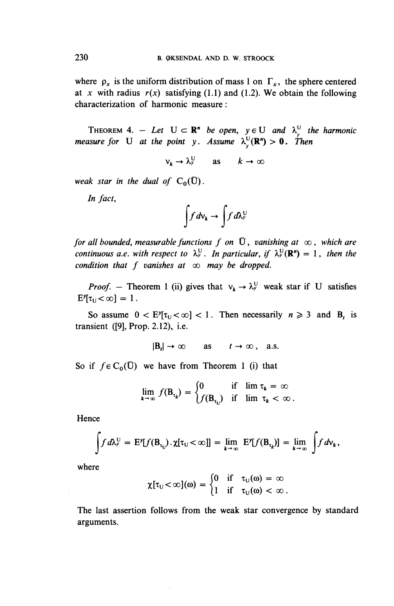where  $\rho_x$  is the uniform distribution of mass 1 on  $\Gamma_x$ , the sphere centered at x with radius  $r(x)$  satisfying (1.1) and (1.2). We obtain the following characterization of harmonic measure:

THEOREM 4. – Let  $U \subset \mathbf{R}^n$  be open,  $y \in U$  and  $\lambda_y^U$  the harmonic *measure for* U *at the point y. Assume*  $\lambda_v^U(\mathbf{R}^n) > 0$ . Then

 $v_k \rightarrow \lambda_y^U$  as  $k \rightarrow \infty$ 

weak star in the dual of  $C_0(\bar{U})$ .

*In fact,*

$$
\int f\,d\nu_k \to \int f\,d\lambda_\nu^{\rm U}
$$

*for all bounded, measurable functions f on*  $\overline{U}$ *, vanishing at*  $\infty$ *, which are for all bounded, measurable functions f* on U, vanishing at  $\infty$ , which are continuous a.e. with respect to  $\lambda_y^U$ . In particular, if  $\lambda_y^U(\mathbf{R}^n) = 1$ , then the condition that f vanishes at  $\infty$  may be dropped.

*Proof.* – Theorem 1 (ii) gives that  $v_k \rightarrow \lambda_y^U$  weak star if U satisfies  $E^y[\tau_{\text{U}} < \infty] = 1.$ 

So assume  $0 < E^{\gamma}[\tau_{U} < \infty] < 1$ . Then necessarily  $n \ge 3$  and B<sub>t</sub> is transient  $([9]$ , Prop. 2.12), i.e.

 $|B_t| \to \infty$  as  $t \to \infty$ , a.s.

So if  $f \in C_0(\overline{U})$  we have from Theorem 1 (i) that

$$
\lim_{k \to \infty} f(B_{\tau_k}) = \begin{cases} 0 & \text{if } \lim \tau_k = \infty \\ f(B_{\tau_{k}}) & \text{if } \lim \tau_k < \infty. \end{cases}
$$

Hence

$$
\int f d\lambda_{\nu}^{U} = E^{\nu}[f(B_{\tau_{U}}) \cdot \chi[\tau_{U} < \infty]] = \lim_{k \to \infty} E^{\nu}[f(B_{\tau_{k}})] = \lim_{k \to \infty} \int f d\nu_{k},
$$

where

$$
\chi[\tau_U<\infty](\omega) = \begin{cases} 0 & \text{if} \quad \tau_U(\omega) = \infty \\ 1 & \text{if} \quad \tau_U(\omega) < \infty \end{cases}
$$

The last assertion follows from the weak star convergence by standard arguments.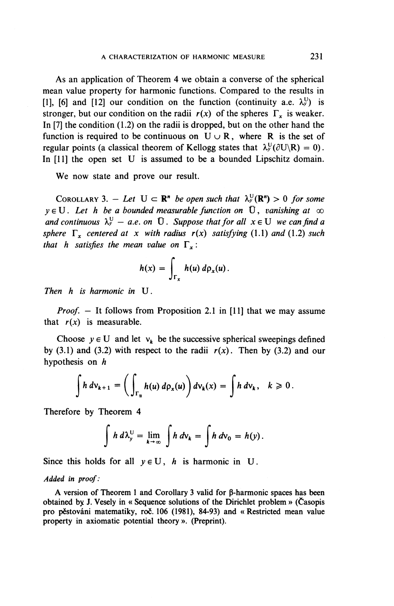As an application of Theorem 4 we obtain a converse of the spherical mean value property for harmonic functions. Compared to the results in [1], [6] and [12] our condition on the function (continuity a.e.  $\lambda_{\nu}^{U}$ ) is stronger, but our condition on the radii  $r(x)$  of the spheres  $\Gamma$ <sub>r</sub> is weaker. In [7] the condition (1.2) on the radii is dropped, but on the other hand the function is required to be continuous on  $U \cup R$ , where R is the set of regular points (a classical theorem of Kellogg states that  $\lambda_v^U(\partial U\setminus R) = 0$ ). In [11] the open set U is assumed to be a bounded Lipschitz domain.

We now state and prove our result.

COROLLARY 3.  $-$  *Let*  $U \subset \mathbb{R}^n$  *be open such that*  $\lambda^U_\nu(\mathbb{R}^n) > 0$  *for some*  $y \in U$ . Let h be a bounded measurable function on  $\overline{U}$ , vanishing at  $\infty$ *and continuous*  $\lambda^U_y$  – *a.e. on*  $\overline{U}$ *. Suppose that for all*  $x \in U$  *we can find a sphere*  $\Gamma$ *, centered at x with radius*  $r(x)$  *satisfying* (1.1) *and* (1.2) *such that h satisfies the mean value on*  $\Gamma$ <sub>*x</sub>* :</sub>

$$
h(x) = \int_{\Gamma_x} h(u) d\rho_x(u).
$$

*Then h is harmonic in* U.

*Proof. —* It follows from Proposition 2.1 in [11] that we may assume that  $r(x)$  is measurable.

Choose  $y \in U$  and let  $v_k$  be the successive spherical sweepings defined by (3.1) and (3.2) with respect to the radii  $r(x)$ . Then by (3.2) and our hypothesis on *h*

$$
\int h\,d\mathsf{v}_{k+1}=\bigg(\int_{\Gamma_\alpha}h(u)\,d\mathsf{p}_x(u)\bigg)d\mathsf{v}_k(x)=\int h\,d\mathsf{v}_k,\quad k\geqslant 0\,.
$$

Therefore by Theorem 4

$$
\int h d\lambda_y^U = \lim_{k \to \infty} \int h d\nu_k = \int h d\nu_0 = h(y).
$$

Since this holds for all  $y \in U$ , *h* is harmonic in U.

#### *Added in proof:*

A version of Theorem 1 and Corollary 3 valid for  $\beta$ -harmonic spaces has been obtained by J. Vesely in « Sequence solutions of the Dirichlet problem » (Casopis pro pěstováni matematiky, roč. 106 (1981), 84-93) and « Restricted mean value property in axiomatic potential theory ». (Preprint).